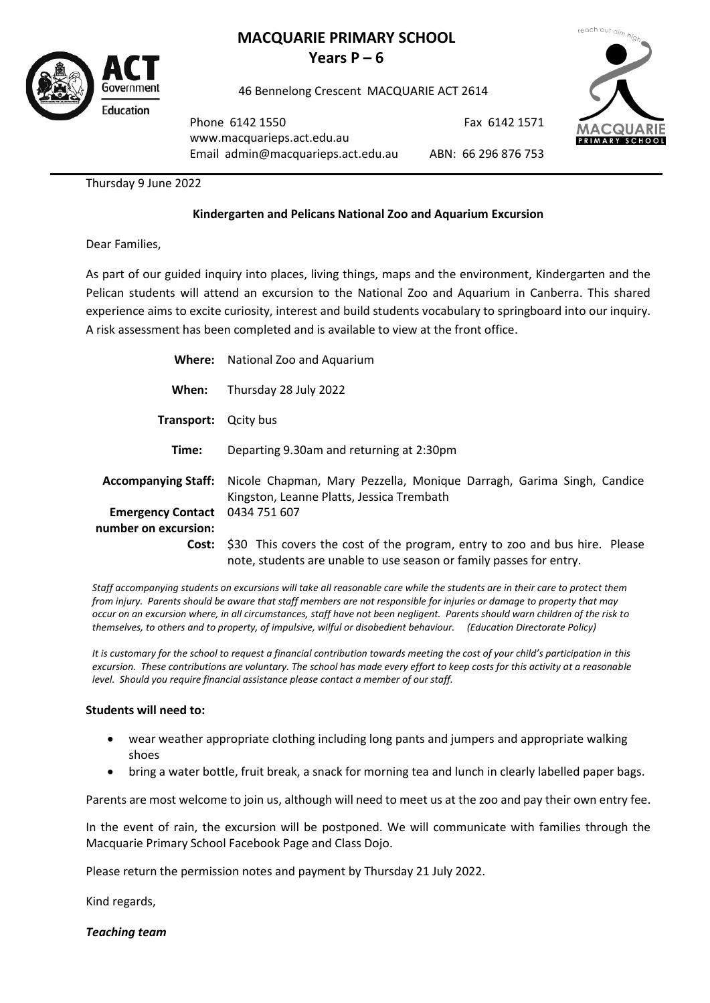

# **MACQUARIE PRIMARY SCHOOL Years**  $P - 6$

46 Bennelong Crescent MACQUARIE ACT 2614



Phone 6142 1550 [www.macquarieps.act.edu.au](http://www.macquarieps.act.edu.au/) Email admin@macquarieps.act.edu.au

ABN: 66 296 876 753

Fax 6142 1571

Thursday 9 June 2022

## **Kindergarten and Pelicans National Zoo and Aquarium Excursion**

Dear Families,

As part of our guided inquiry into places, living things, maps and the environment, Kindergarten and the Pelican students will attend an excursion to the National Zoo and Aquarium in Canberra. This shared experience aims to excite curiosity, interest and build students vocabulary to springboard into our inquiry. A risk assessment has been completed and is available to view at the front office.

|                            | <b>Where:</b> National Zoo and Aquarium                                                                                                            |
|----------------------------|----------------------------------------------------------------------------------------------------------------------------------------------------|
| When:                      | Thursday 28 July 2022                                                                                                                              |
| Transport:                 | Qcity bus                                                                                                                                          |
| Time:                      | Departing 9.30am and returning at 2:30pm                                                                                                           |
| <b>Accompanying Staff:</b> | Nicole Chapman, Mary Pezzella, Monique Darragh, Garima Singh, Candice<br>Kingston, Leanne Platts, Jessica Trembath                                 |
| <b>Emergency Contact</b>   | 0434 751 607                                                                                                                                       |
| number on excursion:       |                                                                                                                                                    |
| Cost:                      | \$30 This covers the cost of the program, entry to zoo and bus hire. Please<br>note, students are unable to use season or family passes for entry. |

*Staff accompanying students on excursions will take all reasonable care while the students are in their care to protect them from injury. Parents should be aware that staff members are not responsible for injuries or damage to property that may occur on an excursion where, in all circumstances, staff have not been negligent. Parents should warn children of the risk to themselves, to others and to property, of impulsive, wilful or disobedient behaviour. (Education Directorate Policy)*

*It is customary for the school to request a financial contribution towards meeting the cost of your child's participation in this excursion. These contributions are voluntary. The school has made every effort to keep costs for this activity at a reasonable level. Should you require financial assistance please contact a member of our staff.*

#### **Students will need to:**

- wear weather appropriate clothing including long pants and jumpers and appropriate walking shoes
- bring a water bottle, fruit break, a snack for morning tea and lunch in clearly labelled paper bags.

Parents are most welcome to join us, although will need to meet us at the zoo and pay their own entry fee.

In the event of rain, the excursion will be postponed. We will communicate with families through the Macquarie Primary School Facebook Page and Class Dojo.

Please return the permission notes and payment by Thursday 21 July 2022.

Kind regards,

*Teaching team*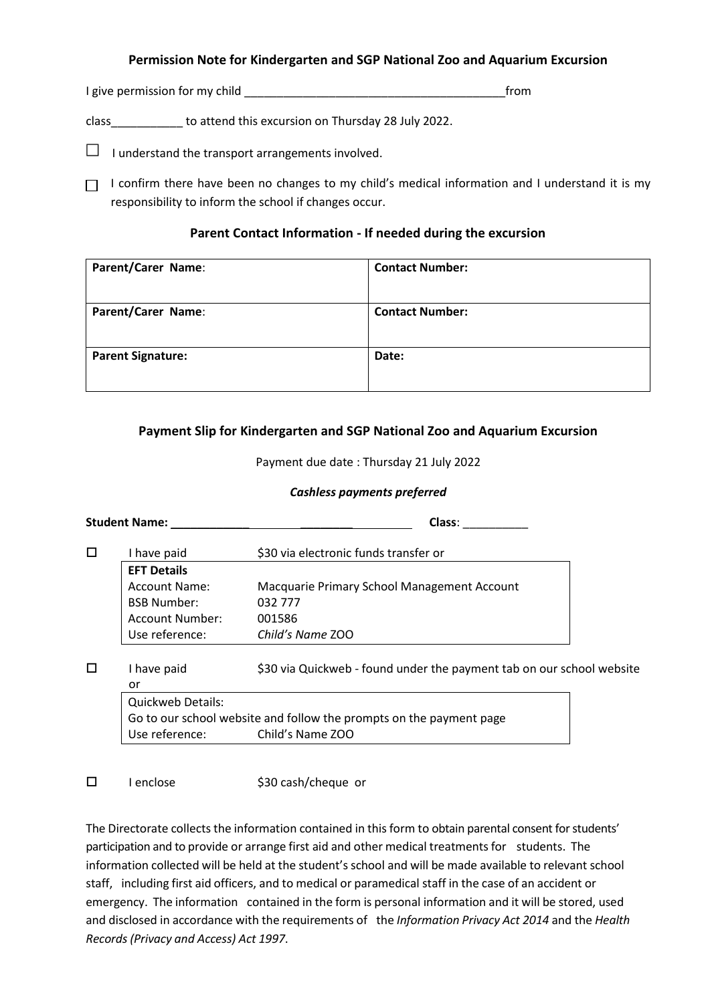### **Permission Note for Kindergarten and SGP National Zoo and Aquarium Excursion**

I give permission for my child **Example 2** from

class\_\_\_\_\_\_\_\_\_\_\_ to attend this excursion on Thursday 28 July 2022.

 $\Box$  I understand the transport arrangements involved.

 $\Box$  I confirm there have been no changes to my child's medical information and I understand it is my responsibility to inform the school if changes occur.

# **Parent Contact Information - If needed during the excursion**

| Parent/Carer Name:       | <b>Contact Number:</b> |
|--------------------------|------------------------|
| Parent/Carer Name:       | <b>Contact Number:</b> |
| <b>Parent Signature:</b> | Date:                  |

# **Payment Slip for Kindergarten and SGP National Zoo and Aquarium Excursion**

Payment due date : Thursday 21 July 2022

### *Cashless payments preferred*

|        | <b>Student Name:</b>                                                | Class:                                                                |  |
|--------|---------------------------------------------------------------------|-----------------------------------------------------------------------|--|
| $\Box$ | I have paid                                                         | \$30 via electronic funds transfer or                                 |  |
|        | <b>EFT Details</b>                                                  |                                                                       |  |
|        | Account Name:                                                       | Macquarie Primary School Management Account                           |  |
|        | <b>BSB Number:</b>                                                  | 032 777                                                               |  |
|        | Account Number:                                                     | 001586                                                                |  |
|        | Use reference:                                                      | Child's Name ZOO                                                      |  |
| П      | I have paid<br>or                                                   | \$30 via Quickweb - found under the payment tab on our school website |  |
|        | <b>Quickweb Details:</b>                                            |                                                                       |  |
|        | Go to our school website and follow the prompts on the payment page |                                                                       |  |
|        | Use reference:                                                      | Child's Name ZOO                                                      |  |
|        |                                                                     |                                                                       |  |

 $\square$  I enclose  $\lesssim$  \$30 cash/cheque or

The Directorate collects the information contained in thisform to obtain parental consent for students' participation and to provide or arrange first aid and other medical treatments for students. The information collected will be held at the student's school and will be made available to relevant school staff, including first aid officers, and to medical or paramedical staff in the case of an accident or emergency. The information contained in the form is personal information and it will be stored, used and disclosed in accordance with the requirements of the *Information Privacy Act 2014* and the *Health Records (Privacy and Access) Act 1997*.